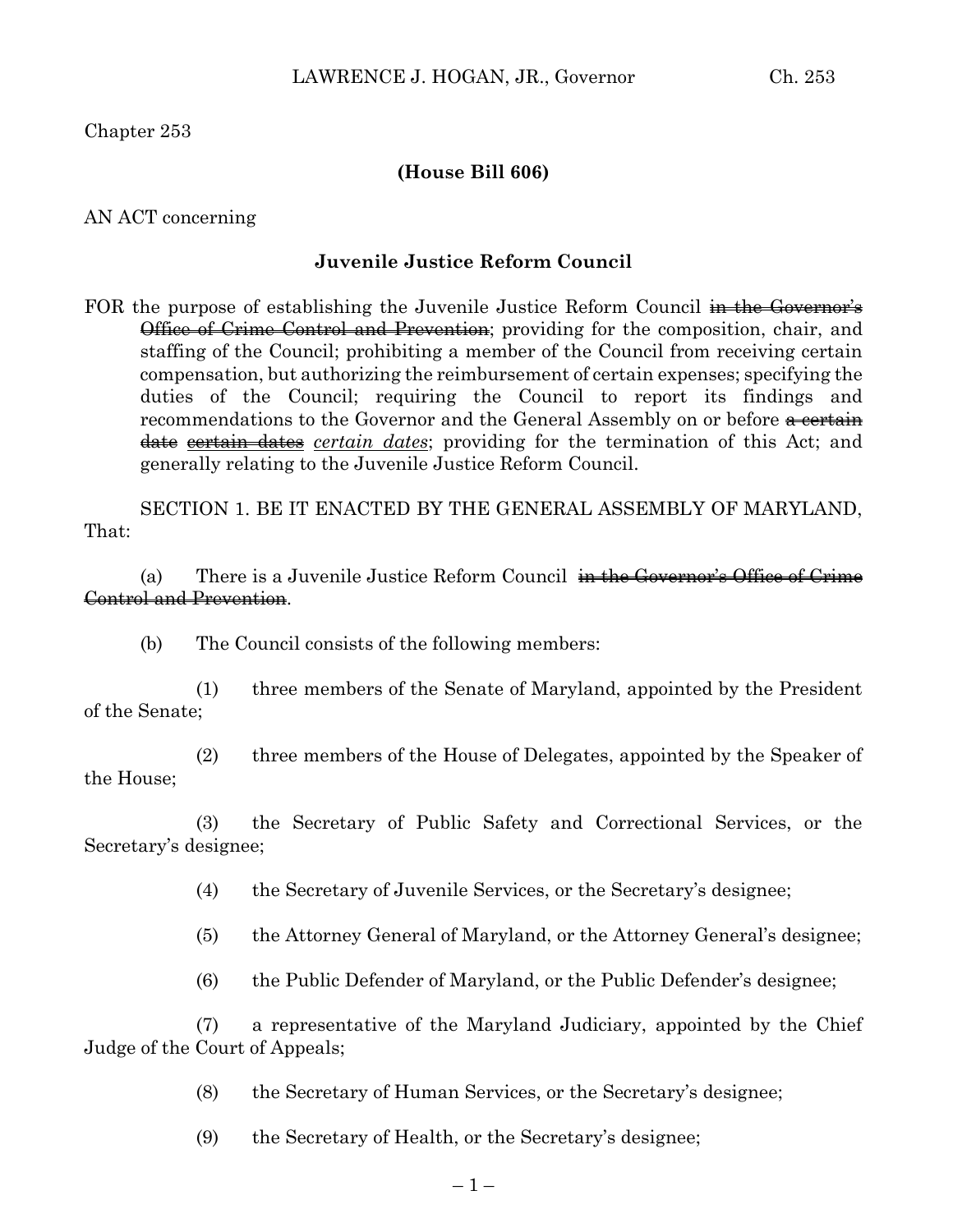Chapter 253

## **(House Bill 606)**

AN ACT concerning

## **Juvenile Justice Reform Council**

FOR the purpose of establishing the Juvenile Justice Reform Council in the Governor's **Office of Crime Control and Prevention**; providing for the composition, chair, and staffing of the Council; prohibiting a member of the Council from receiving certain compensation, but authorizing the reimbursement of certain expenses; specifying the duties of the Council; requiring the Council to report its findings and recommendations to the Governor and the General Assembly on or before a certain date certain dates *certain dates*; providing for the termination of this Act; and generally relating to the Juvenile Justice Reform Council.

SECTION 1. BE IT ENACTED BY THE GENERAL ASSEMBLY OF MARYLAND, That:

(a) There is a Juvenile Justice Reform Council  $\frac{1}{n}$  the Governor's Office of Crime Control and Prevention.

(b) The Council consists of the following members:

(1) three members of the Senate of Maryland, appointed by the President of the Senate;

(2) three members of the House of Delegates, appointed by the Speaker of the House;

(3) the Secretary of Public Safety and Correctional Services, or the Secretary's designee;

(4) the Secretary of Juvenile Services, or the Secretary's designee;

(5) the Attorney General of Maryland, or the Attorney General's designee;

(6) the Public Defender of Maryland, or the Public Defender's designee;

(7) a representative of the Maryland Judiciary, appointed by the Chief Judge of the Court of Appeals;

(8) the Secretary of Human Services, or the Secretary's designee;

(9) the Secretary of Health, or the Secretary's designee;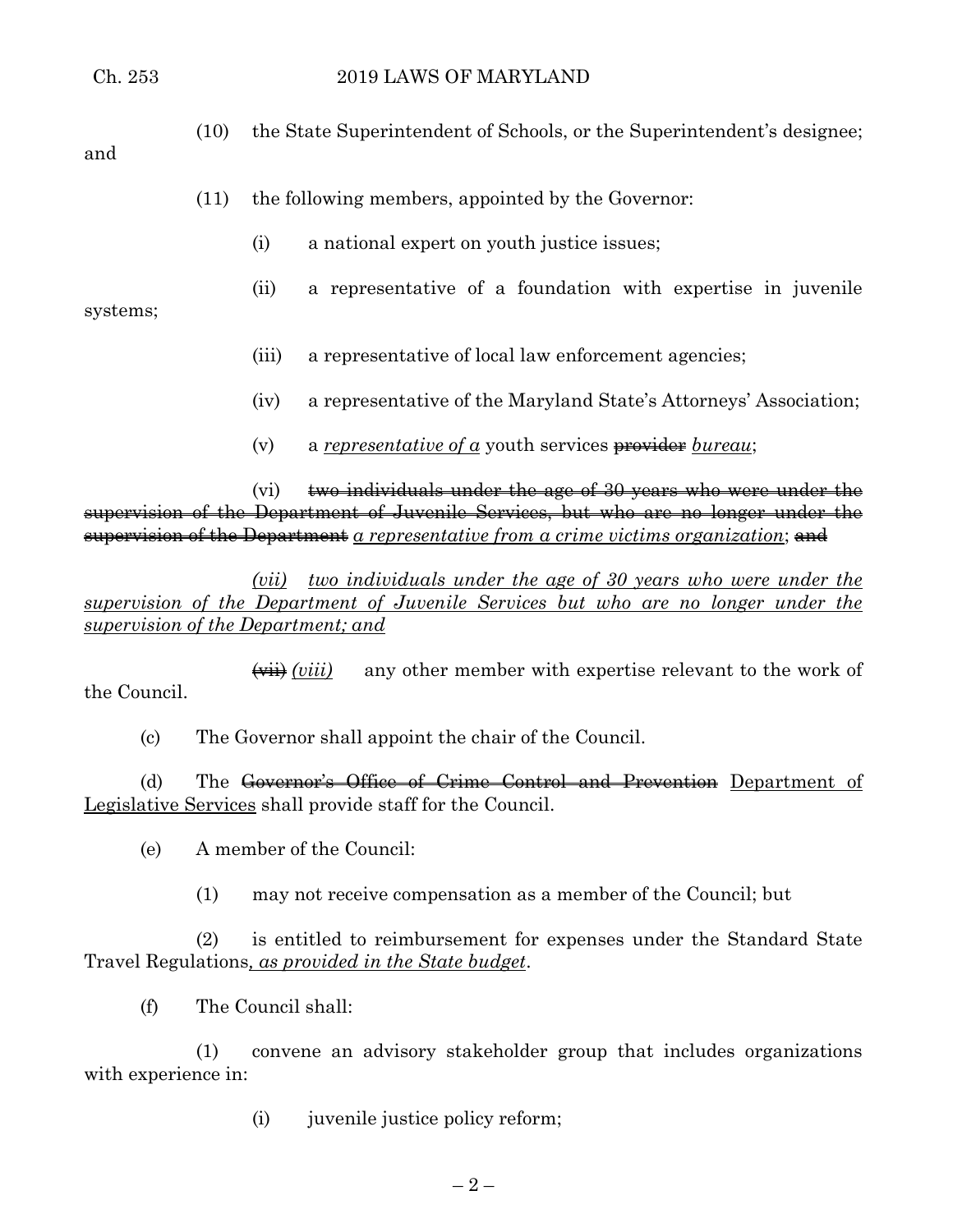(10) the State Superintendent of Schools, or the Superintendent's designee;

## and

- (11) the following members, appointed by the Governor:
	- (i) a national expert on youth justice issues;
	- (ii) a representative of a foundation with expertise in juvenile

systems;

- (iii) a representative of local law enforcement agencies;
- (iv) a representative of the Maryland State's Attorneys' Association;
- (v) a *representative of a* youth services provider *bureau*;

(vi)  $\theta$  two individuals under the age of 30 years who were under the supervision of the Department of Juvenile Services, but who are no longer under the supervision of the Department *a representative from a crime victims organization*; and

*(vii) two individuals under the age of 30 years who were under the supervision of the Department of Juvenile Services but who are no longer under the supervision of the Department; and*

(vii) *(viii)* any other member with expertise relevant to the work of the Council.

(c) The Governor shall appoint the chair of the Council.

(d) The Governor's Office of Crime Control and Prevention Department of Legislative Services shall provide staff for the Council.

(e) A member of the Council:

(1) may not receive compensation as a member of the Council; but

(2) is entitled to reimbursement for expenses under the Standard State Travel Regulations*, as provided in the State budget*.

(f) The Council shall:

(1) convene an advisory stakeholder group that includes organizations with experience in:

(i) juvenile justice policy reform;